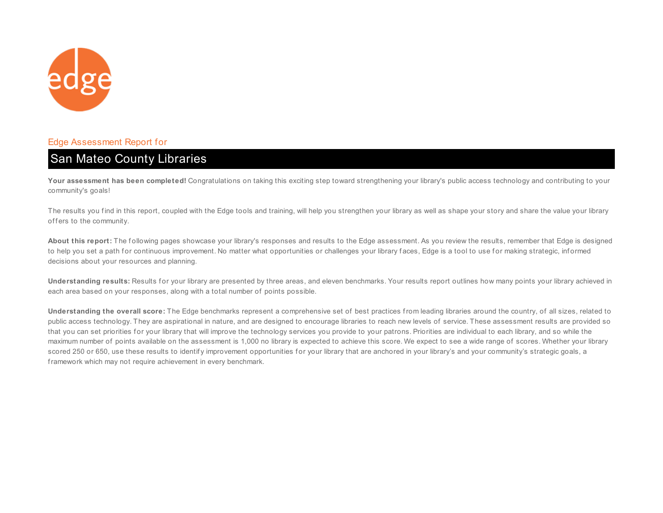

#### Edge Assessment Report for

# San Mateo County Libraries

Your assessment has been completed! Congratulations on taking this exciting step toward strengthening your library's public access technology and contributing to your community's goals!

The results you find in this report, coupled with the Edge tools and training, will help you strengthen your library as well as shape your story and share the value your library offers to the community.

About this report: The following pages showcase your library's responses and results to the Edge assessment. As you review the results, remember that Edge is designed to help you set a path for continuous improvement. No matter what opportunities or challenges your library faces, Edge is a tool to use for making strategic, informed decisions about your resources and planning.

**Understanding results:** Results for your library are presented by three areas, and eleven benchmarks. Your results report outlines how many points your library achieved in each area based on your responses, along with a total number of points possible.

**Understanding the overall score:** The Edge benchmarks represent a comprehensive set of best practices from leading libraries around the country, of all sizes, related to public access technology. They are aspirational in nature, and are designed to encourage libraries to reach new levels of service. These assessment results are provided so that you can set priorities for your library that will improve the technology services you provide to your patrons. Priorities are individual to each library, and so while the maximum number of points available on the assessment is 1,000 no library is expected to achieve this score. We expect to see a wide range of scores. Whether your library scored 250 or 650, use these results to identify improvement opportunities for your library that are anchored in your library's and your community's strategic goals, a framework which may not require achievement in every benchmark.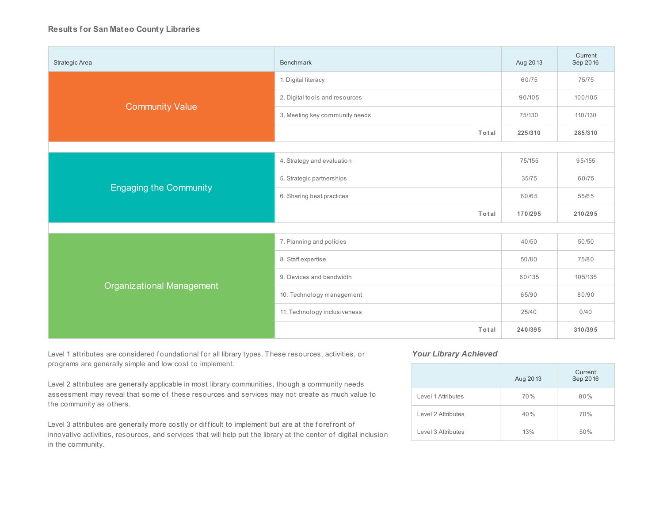#### **Results for San Mateo County Libraries**

| Strategic Area                   | Benchmark                      | Aug 2013 | Current<br>Sep 2016 |
|----------------------------------|--------------------------------|----------|---------------------|
|                                  | 1. Digital literacy            | 60/75    | 75/75               |
|                                  | 2. Digital tools and resources | 90/105   | 100/105             |
| <b>Community Value</b>           | 3. Meeting key community needs | 75/130   | 110/130             |
|                                  | Total                          | 225/310  | 285/310             |
|                                  |                                |          |                     |
|                                  | 4. Strategy and evaluation     | 75/155   | 95/155              |
|                                  | 5. Strategic partnerships      | 35/75    | 60/75               |
| <b>Engaging the Community</b>    | 6. Sharing best practices      | 60/65    | 55/65               |
|                                  | Total                          | 170/295  | 210/295             |
|                                  |                                |          |                     |
|                                  | 7. Planning and policies       | 40/50    | 50/50               |
|                                  | 8. Staff expertise             | 50/80    | 75/80               |
|                                  | 9. Devices and bandwidth       | 60/135   | 105/135             |
| <b>Organizational Management</b> | 10. Technology management      | 65/90    | 80/90               |
|                                  | 11. Technology inclusiveness   | 25/40    | 0/40                |
|                                  | Total                          | 240/395  | 310/395             |

Level 1 attributes are considered foundational for all library types. These resources, activities, or programs are generally simple and low cost to implement.

Level 2 attributes are generally applicable in most library communities, though a community needs assessment may reveal that some of these resources and services may not create as much value to the community as others.

Level 3 attributes are generally more costly or difficult to implement but are at the forefront of innovative activities, resources, and services that will help put the library at the center of digital inclusion in the community.

#### *Your Library Achieved*

|                    | Aug 2013 | Current<br>Sep 2016 |
|--------------------|----------|---------------------|
| Level 1 Attributes | 70%      | 80%                 |
| Level 2 Attributes | 40%      | 70%                 |
| Level 3 Attributes | 13%      | 50%                 |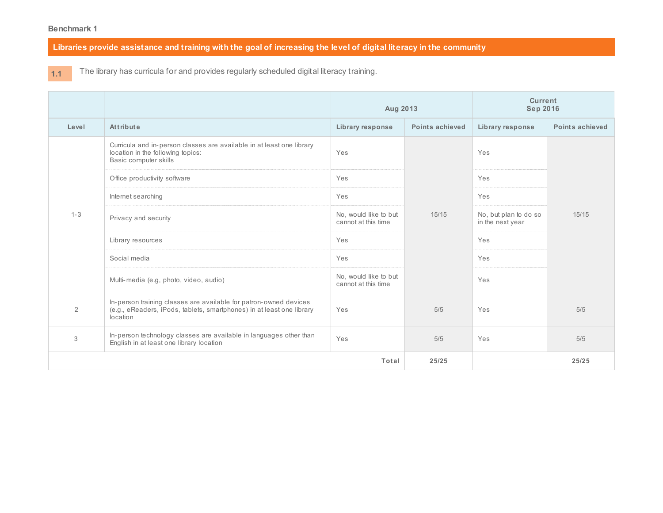Libraries provide assistance and training with the goal of increasing the level of digital literacy in the community

**1.1**

The library has curricula for and provides regularly scheduled digital literacy training.

|                |                                                                                                                                                        | Aug 2013                                     |                 | <b>Current</b><br><b>Sep 2016</b>         |                 |
|----------------|--------------------------------------------------------------------------------------------------------------------------------------------------------|----------------------------------------------|-----------------|-------------------------------------------|-----------------|
| Level          | Attribute                                                                                                                                              | <b>Library response</b>                      | Points achieved | <b>Library response</b>                   | Points achieved |
|                | Curricula and in-person classes are available in at least one library<br>location in the following topics:<br>Basic computer skills                    | Yes                                          |                 | Yes                                       |                 |
|                | Office productivity software                                                                                                                           | Yes                                          |                 | Yes                                       |                 |
|                | Internet searching                                                                                                                                     | Yes                                          |                 | Yes                                       | 15/15           |
| $1 - 3$        | Privacy and security                                                                                                                                   | No, would like to but<br>cannot at this time | 15/15           | No, but plan to do so<br>in the next year |                 |
|                | Library resources                                                                                                                                      | Yes                                          |                 | Yes                                       |                 |
|                | Social media                                                                                                                                           | Yes                                          |                 | Yes                                       |                 |
|                | Multi-media (e.g. photo, video, audio)                                                                                                                 | No, would like to but<br>cannot at this time |                 | Yes                                       |                 |
| $\overline{2}$ | In-person training classes are available for patron-owned devices<br>(e.g., eReaders, iPods, tablets, smartphones) in at least one library<br>location | Yes                                          | 5/5             | Yes                                       | 5/5             |
| 3              | In-person technology classes are available in languages other than<br>English in at least one library location                                         | Yes                                          | 5/5             | Yes                                       | 5/5             |
|                |                                                                                                                                                        | Total                                        | 25/25           |                                           | 25/25           |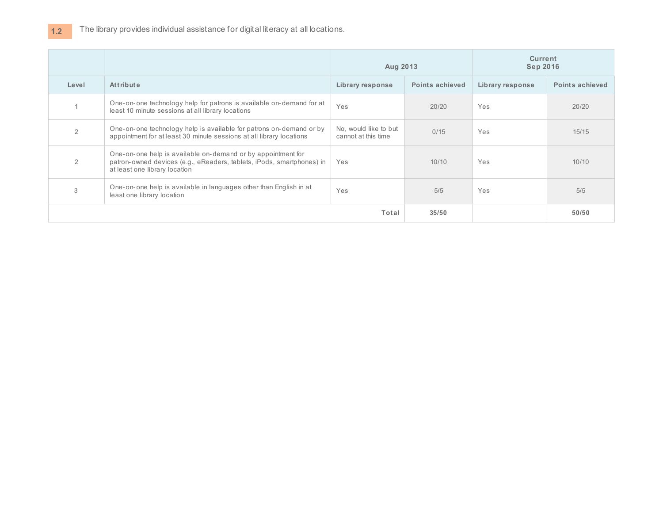|                |                                                                                                                                                                        | Aug 2013                                     |                 | <b>Current</b><br><b>Sep 2016</b> |                 |
|----------------|------------------------------------------------------------------------------------------------------------------------------------------------------------------------|----------------------------------------------|-----------------|-----------------------------------|-----------------|
| Level          | Attribute                                                                                                                                                              | Library response                             | Points achieved | Library response                  | Points achieved |
|                | One-on-one technology help for patrons is available on-demand for at<br>least 10 minute sessions at all library locations                                              | Yes                                          | 20/20           | <b>Yes</b>                        | 20/20           |
| 2              | One-on-one technology help is available for patrons on-demand or by<br>appointment for at least 30 minute sessions at all library locations                            | No, would like to but<br>cannot at this time | 0/15            | Yes                               | 15/15           |
| $\overline{2}$ | One-on-one help is available on-demand or by appointment for<br>patron-owned devices (e.g., eReaders, tablets, iPods, smartphones) in<br>at least one library location | Yes                                          | 10/10           | <b>Yes</b>                        | 10/10           |
| 3              | One-on-one help is available in languages other than English in at<br>least one library location                                                                       | Yes                                          | 5/5             | Yes                               | 5/5             |
|                | Total                                                                                                                                                                  |                                              | 35/50           |                                   | 50/50           |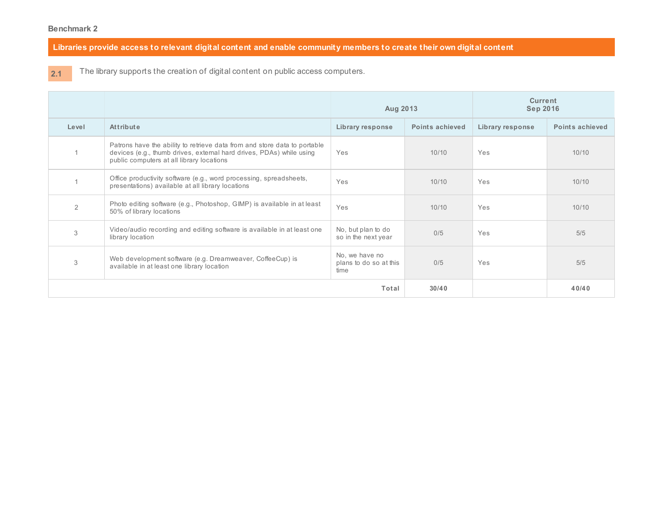Libraries provide access to relevant digital content and enable community members to create their own digital content

**2.1**

The library supports the creation of digital content on public access computers.

|                |                                                                                                                                                                                                | Aug 2013                                         |                        | <b>Current</b><br><b>Sep 2016</b> |                        |
|----------------|------------------------------------------------------------------------------------------------------------------------------------------------------------------------------------------------|--------------------------------------------------|------------------------|-----------------------------------|------------------------|
| Level          | Attribute                                                                                                                                                                                      | Library response                                 | <b>Points achieved</b> | Library response                  | <b>Points achieved</b> |
|                | Patrons have the ability to retrieve data from and store data to portable<br>devices (e.g., thumb drives, external hard drives, PDAs) while using<br>public computers at all library locations | Yes                                              | 10/10                  | Yes                               | 10/10                  |
|                | Office productivity software (e.g., word processing, spreadsheets,<br>presentations) available at all library locations                                                                        | Yes                                              | 10/10                  | Yes                               | 10/10                  |
| $\overline{2}$ | Photo editing software (e.g., Photoshop, GIMP) is available in at least<br>50% of library locations                                                                                            | Yes                                              | 10/10                  | Yes                               | 10/10                  |
| 3              | Video/audio recording and editing software is available in at least one<br>library location                                                                                                    | No, but plan to do<br>so in the next year        | 0/5                    | Yes                               | 5/5                    |
| 3              | Web development software (e.g. Dreamweaver, CoffeeCup) is<br>available in at least one library location                                                                                        | No, we have no<br>plans to do so at this<br>time | 0/5                    | Yes                               | 5/5                    |
|                |                                                                                                                                                                                                | Total                                            | 30/40                  |                                   | 40/40                  |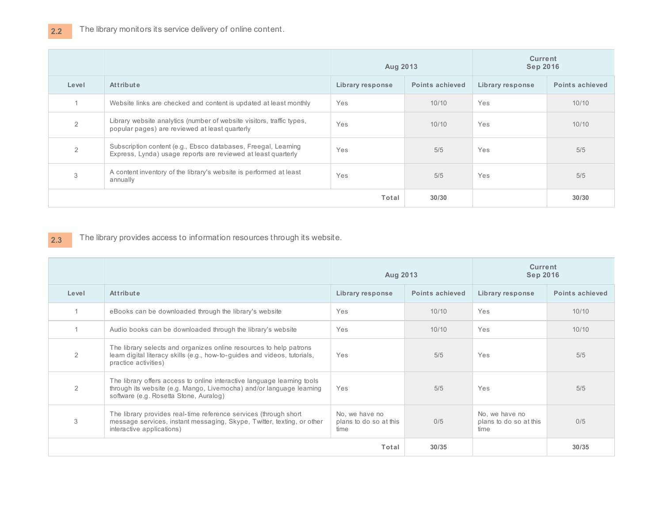|                |                                                                                                                                 | Aug 2013         |                        | <b>Current</b><br><b>Sep 2016</b> |                 |
|----------------|---------------------------------------------------------------------------------------------------------------------------------|------------------|------------------------|-----------------------------------|-----------------|
| Level          | <b>Attribute</b>                                                                                                                | Library response | <b>Points achieved</b> | Library response                  | Points achieved |
|                | Website links are checked and content is updated at least monthly                                                               | Yes              | 10/10                  | Yes                               | 10/10           |
| $\overline{2}$ | Library website analytics (number of website visitors, traffic types,<br>popular pages) are reviewed at least quarterly         | Yes              | 10/10                  | Yes                               | 10/10           |
|                | Subscription content (e.g., Ebsco databases, Freegal, Learning<br>Express, Lynda) usage reports are reviewed at least quarterly | Yes              | 5/5                    | Yes                               | 5/5             |
| 3              | A content inventory of the library's website is performed at least<br>annually                                                  | Yes              | 5/5                    | Yes                               | 5/5             |
|                |                                                                                                                                 | Total            | 30/30                  |                                   | 30/30           |

#### **2.3** The library provides access to information resources through its website.

|               |                                                                                                                                                                                           | Aug 2013                                         |                 | <b>Current</b><br><b>Sep 2016</b>                |                 |
|---------------|-------------------------------------------------------------------------------------------------------------------------------------------------------------------------------------------|--------------------------------------------------|-----------------|--------------------------------------------------|-----------------|
| Level         | Attribute                                                                                                                                                                                 | Library response                                 | Points achieved | Library response                                 | Points achieved |
|               | eBooks can be downloaded through the library's website                                                                                                                                    | Yes                                              | 10/10           | Yes                                              | 10/10           |
|               | Audio books can be downloaded through the library's website                                                                                                                               | Yes                                              | 10/10           | Yes                                              | 10/10           |
| $\mathcal{P}$ | The library selects and organizes online resources to help patrons<br>learn digital literacy skills (e.g., how-to-guides and videos, tutorials,<br>practice activities)                   | Yes                                              | 5/5             | Yes                                              | 5/5             |
| 2             | The library offers access to online interactive language learning tools<br>through its website (e.g. Mango, Livemocha) and/or language learning<br>software (e.g. Rosetta Stone, Auralog) | Yes                                              | 5/5             | Yes                                              | 5/5             |
| 3             | The library provides real-time reference services (through short<br>message services, instant messaging, Skype, Twitter, texting, or other<br>interactive applications)                   | No, we have no<br>plans to do so at this<br>time | 0/5             | No, we have no<br>plans to do so at this<br>time | 0/5             |
|               |                                                                                                                                                                                           | Total                                            | 30/35           |                                                  | 30/35           |

**2.2**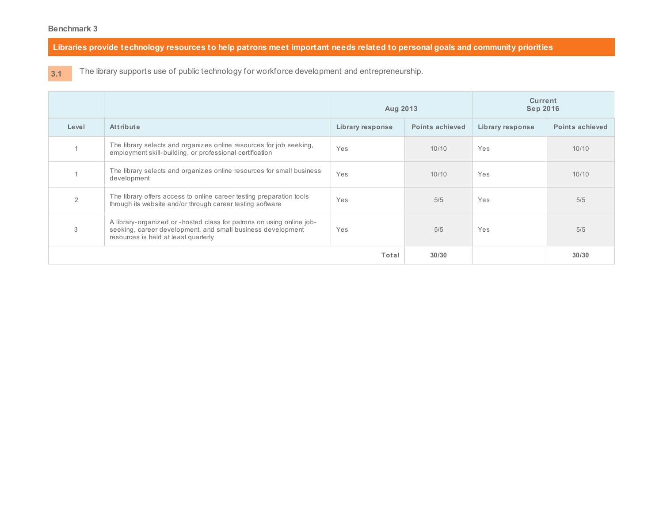Libraries provide technology resources to help patrons meet important needs related to personal goals and community priorities

**3.1** The library supports use of public technology for workforce development and entrepreneurship.

|               |                                                                                                                                                                              | Aug 2013         |                        | <b>Current</b><br><b>Sep 2016</b> |                 |
|---------------|------------------------------------------------------------------------------------------------------------------------------------------------------------------------------|------------------|------------------------|-----------------------------------|-----------------|
| Level         | Attribute                                                                                                                                                                    | Library response | <b>Points achieved</b> | Library response                  | Points achieved |
|               | The library selects and organizes online resources for job seeking,<br>employment skill-building, or professional certification                                              | Yes              | 10/10                  | Yes                               | 10/10           |
|               | The library selects and organizes online resources for small business<br>development                                                                                         | Yes              | 10/10                  | Yes                               | 10/10           |
| $\mathcal{P}$ | The library offers access to online career testing preparation tools<br>through its website and/or through career testing software                                           | Yes              | 5/5                    | Yes                               | 5/5             |
| 3             | A library-organized or -hosted class for patrons on using online job-<br>seeking, career development, and small business development<br>resources is held at least quarterly | Yes              | 5/5                    | Yes                               | 5/5             |
|               |                                                                                                                                                                              | Total            | 30/30                  |                                   | 30/30           |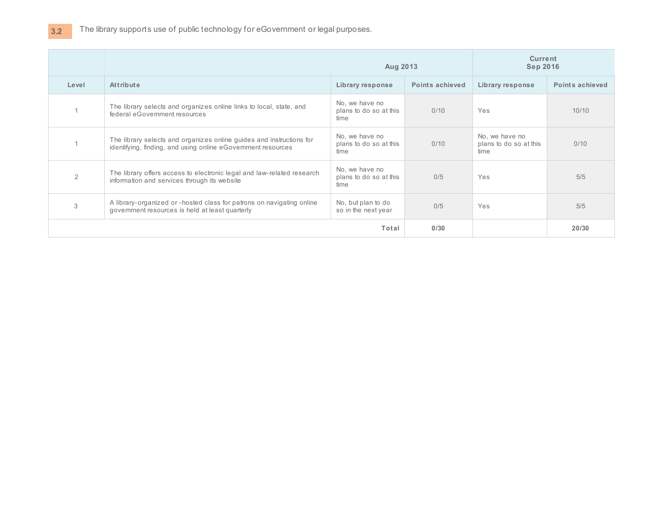|       |                                                                                                                                      | Aug 2013                                         |                 | <b>Current</b><br><b>Sep 2016</b>                |                 |
|-------|--------------------------------------------------------------------------------------------------------------------------------------|--------------------------------------------------|-----------------|--------------------------------------------------|-----------------|
| Level | <b>Attribute</b>                                                                                                                     | Library response                                 | Points achieved | Library response                                 | Points achieved |
|       | The library selects and organizes online links to local, state, and<br>federal eGovernment resources                                 | No, we have no<br>plans to do so at this<br>time | 0/10            | Yes                                              | 10/10           |
|       | The library selects and organizes online guides and instructions for<br>identifying, finding, and using online eGovernment resources | No, we have no<br>plans to do so at this<br>time | 0/10            | No, we have no<br>plans to do so at this<br>time | 0/10            |
| 2     | The library offers access to electronic legal and law-related research<br>information and services through its website               | No, we have no<br>plans to do so at this<br>time | 0/5             | Yes                                              | 5/5             |
| 3     | A library-organized or -hosted class for patrons on navigating online<br>government resources is held at least quarterly             | No, but plan to do<br>so in the next year        | 0/5             | Yes                                              | 5/5             |
|       |                                                                                                                                      | Total                                            | 0/30            |                                                  | 20/30           |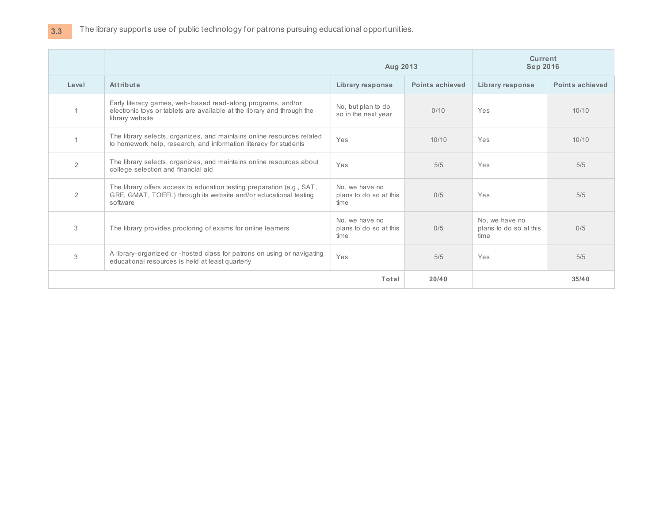|                |                                                                                                                                                           | Aug 2013                                         |                 | <b>Current</b><br><b>Sep 2016</b>                |                 |
|----------------|-----------------------------------------------------------------------------------------------------------------------------------------------------------|--------------------------------------------------|-----------------|--------------------------------------------------|-----------------|
| Level          | Attribute                                                                                                                                                 | <b>Library response</b>                          | Points achieved | Library response                                 | Points achieved |
|                | Early literacy games, web-based read-along programs, and/or<br>electronic toys or tablets are available at the library and through the<br>library website | No, but plan to do<br>so in the next year        | 0/10            | Yes                                              | 10/10           |
|                | The library selects, organizes, and maintains online resources related<br>to homework help, research, and information literacy for students               | Yes                                              | 10/10           | Yes                                              | 10/10           |
| $\overline{2}$ | The library selects, organizes, and maintains online resources about<br>college selection and financial aid                                               | Yes                                              | 5/5             | Yes                                              | 5/5             |
| 2              | The library offers access to education testing preparation (e.g., SAT,<br>GRE, GMAT, TOEFL) through its website and/or educational testing<br>software    | No, we have no<br>plans to do so at this<br>time | 0/5             | Yes                                              | 5/5             |
| 3              | The library provides proctoring of exams for online learners                                                                                              | No. we have no<br>plans to do so at this<br>time | 0/5             | No, we have no<br>plans to do so at this<br>time | 0/5             |
| 3              | A library-organized or -hosted class for patrons on using or navigating<br>educational resources is held at least quarterly                               | Yes                                              | 5/5             | Yes                                              | 5/5             |
|                |                                                                                                                                                           | Total                                            | 20/40           |                                                  | 35/40           |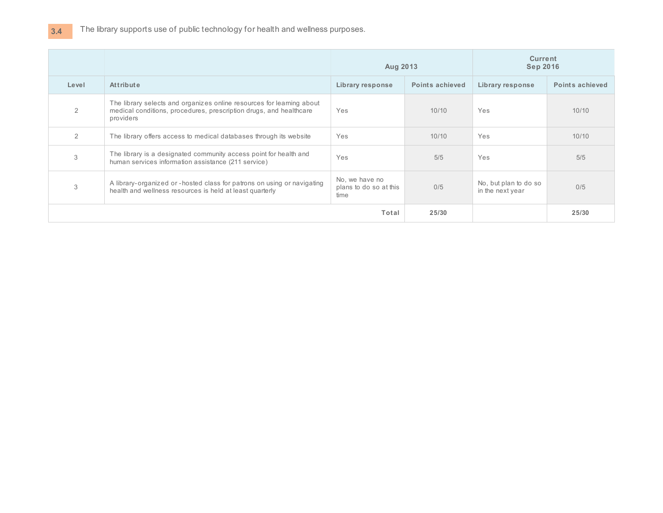# **3.4** The library supports use of public technology for health and wellness purposes.

|               |                                                                                                                                                          | Aug 2013                                         |                        | <b>Current</b><br><b>Sep 2016</b>         |                        |
|---------------|----------------------------------------------------------------------------------------------------------------------------------------------------------|--------------------------------------------------|------------------------|-------------------------------------------|------------------------|
| Level         | Attribute                                                                                                                                                | Library response                                 | <b>Points achieved</b> | Library response                          | <b>Points achieved</b> |
| 2             | The library selects and organizes online resources for learning about<br>medical conditions, procedures, prescription drugs, and healthcare<br>providers | Yes                                              | 10/10                  | Yes                                       | 10/10                  |
| $\mathcal{P}$ | The library offers access to medical databases through its website                                                                                       | Yes                                              | 10/10                  | Yes                                       | 10/10                  |
| 3             | The library is a designated community access point for health and<br>human services information assistance (211 service)                                 | Yes                                              | 5/5                    | Yes                                       | 5/5                    |
| 3             | A library-organized or - hosted class for patrons on using or navigating<br>health and wellness resources is held at least quarterly                     | No, we have no<br>plans to do so at this<br>time | 0/5                    | No, but plan to do so<br>in the next year | 0/5                    |
|               |                                                                                                                                                          | Total                                            | 25/30                  |                                           | 25/30                  |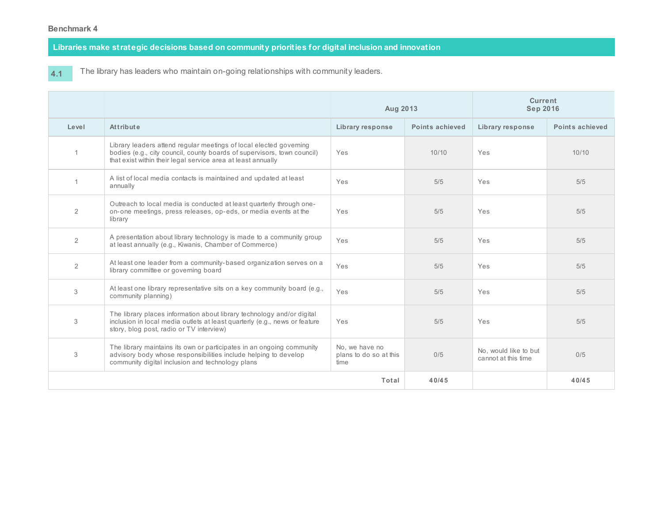**Libraries make strategic decisions based on community priorities for digital inclusion and innovation**

**4.1**

The library has leaders who maintain on-going relationships with community leaders.

|                |                                                                                                                                                                                                               | Aug 2013                                         |                 | <b>Current</b><br><b>Sep 2016</b>            |                 |
|----------------|---------------------------------------------------------------------------------------------------------------------------------------------------------------------------------------------------------------|--------------------------------------------------|-----------------|----------------------------------------------|-----------------|
| Level          | Attribute                                                                                                                                                                                                     | Library response                                 | Points achieved | Library response                             | Points achieved |
|                | Library leaders attend regular meetings of local elected governing<br>bodies (e.g., city council, county boards of supervisors, town council)<br>that exist within their legal service area at least annually | Yes                                              | 10/10           | Yes                                          | 10/10           |
|                | A list of local media contacts is maintained and updated at least<br>annually                                                                                                                                 | Yes                                              | 5/5             | Yes                                          | 5/5             |
| $\overline{2}$ | Outreach to local media is conducted at least quarterly through one-<br>on-one meetings, press releases, op-eds, or media events at the<br>library                                                            | Yes                                              | 5/5             | Yes                                          | 5/5             |
| $\overline{2}$ | A presentation about library technology is made to a community group<br>at least annually (e.g., Kiwanis, Chamber of Commerce)                                                                                | Yes                                              | 5/5             | Yes                                          | 5/5             |
| $\overline{2}$ | At least one leader from a community-based organization serves on a<br>library committee or governing board                                                                                                   | Yes                                              | 5/5             | Yes                                          | 5/5             |
| 3              | At least one library representative sits on a key community board (e.g.,<br>community planning)                                                                                                               | Yes                                              | 5/5             | Yes                                          | 5/5             |
| 3              | The library places information about library technology and/or digital<br>inclusion in local media outlets at least quarterly (e.g., news or feature<br>story, blog post, radio or TV interview)              | Yes                                              | 5/5             | Yes                                          | 5/5             |
| 3              | The library maintains its own or participates in an ongoing community<br>advisory body whose responsibilities include helping to develop<br>community digital inclusion and technology plans                  | No, we have no<br>plans to do so at this<br>time | 0/5             | No, would like to but<br>cannot at this time | 0/5             |
|                |                                                                                                                                                                                                               | Total                                            | 40/45           |                                              | 40/45           |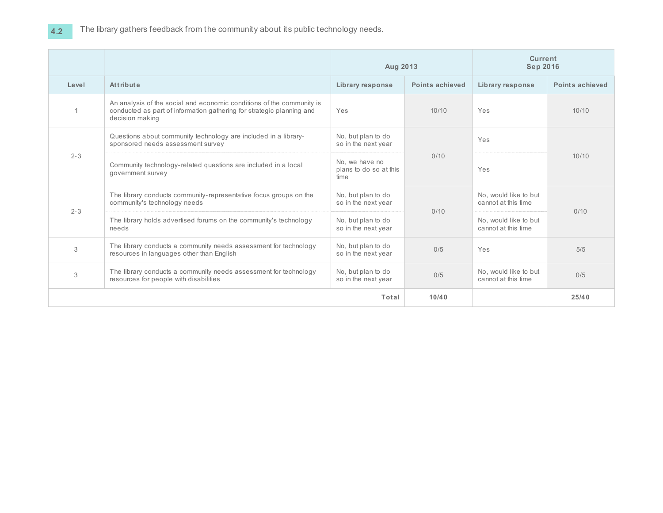|         |                                                                                                                                                                   | Aug 2013                                         |                 | <b>Current</b><br><b>Sep 2016</b>            |                 |
|---------|-------------------------------------------------------------------------------------------------------------------------------------------------------------------|--------------------------------------------------|-----------------|----------------------------------------------|-----------------|
| Level   | Attribute                                                                                                                                                         | Library response                                 | Points achieved | Library response                             | Points achieved |
|         | An analysis of the social and economic conditions of the community is<br>conducted as part of information gathering for strategic planning and<br>decision making | Yes                                              | 10/10           | Yes                                          | 10/10           |
|         | Questions about community technology are included in a library-<br>sponsored needs assessment survey                                                              | No, but plan to do<br>so in the next year        |                 | Yes                                          |                 |
| $2 - 3$ | Community technology-related questions are included in a local<br>government survey                                                                               | No. we have no<br>plans to do so at this<br>time | 0/10            | Yes                                          | 10/10           |
| $2 - 3$ | The library conducts community-representative focus groups on the<br>community's technology needs                                                                 | No, but plan to do<br>so in the next year        | 0/10            | No. would like to but<br>cannot at this time | 0/10            |
|         | The library holds advertised forums on the community's technology<br>needs                                                                                        | No, but plan to do<br>so in the next year        |                 | No, would like to but<br>cannot at this time |                 |
| 3       | The library conducts a community needs assessment for technology<br>resources in languages other than English                                                     | No, but plan to do<br>so in the next year        | 0/5             | Yes                                          | 5/5             |
| 3       | The library conducts a community needs assessment for technology<br>resources for people with disabilities                                                        | No, but plan to do<br>so in the next year        | 0/5             | No. would like to but<br>cannot at this time | 0/5             |
|         |                                                                                                                                                                   | Total                                            | 10/40           |                                              | 25/40           |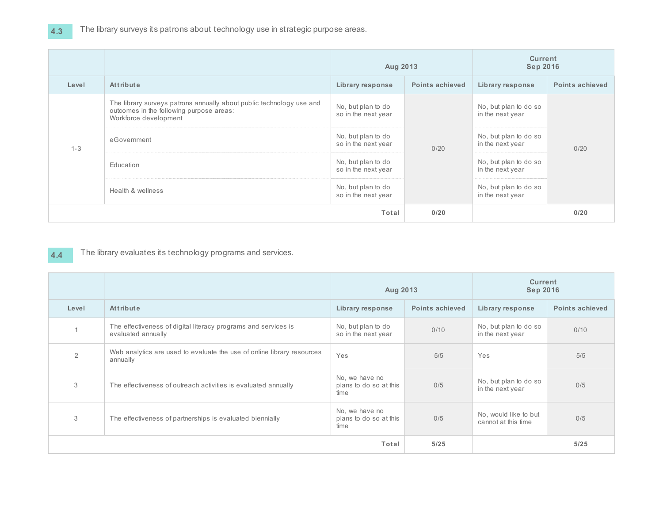### The library surveys its patrons about technology use in strategic purpose areas.

|         |                                                                                                                                                                                        | Aug 2013                                  |                                           | <b>Current</b><br><b>Sep 2016</b>         |                 |
|---------|----------------------------------------------------------------------------------------------------------------------------------------------------------------------------------------|-------------------------------------------|-------------------------------------------|-------------------------------------------|-----------------|
| Level   | Attribute                                                                                                                                                                              | Library response                          | Points achieved                           | Library response                          | Points achieved |
|         | The library surveys patrons annually about public technology use and<br>No, but plan to do<br>outcomes in the following purpose areas:<br>so in the next year<br>Workforce development |                                           | No, but plan to do so<br>in the next year |                                           |                 |
| $1 - 3$ | eGovernment                                                                                                                                                                            | No, but plan to do<br>so in the next year | 0/20                                      | No, but plan to do so<br>in the next year | 0/20            |
|         | Education                                                                                                                                                                              | No, but plan to do<br>so in the next year |                                           | No, but plan to do so<br>in the next year |                 |
|         | Health & wellness                                                                                                                                                                      | No, but plan to do<br>so in the next year |                                           | No, but plan to do so<br>in the next year |                 |
|         | Total                                                                                                                                                                                  |                                           | 0/20                                      |                                           | 0/20            |

#### **4.4** The library evaluates its technology programs and services.

|                |                                                                                      | Aug 2013                                         |                        | <b>Current</b><br><b>Sep 2016</b>            |                        |
|----------------|--------------------------------------------------------------------------------------|--------------------------------------------------|------------------------|----------------------------------------------|------------------------|
| Level          | Attribute                                                                            | Library response                                 | <b>Points achieved</b> | Library response                             | <b>Points achieved</b> |
|                | The effectiveness of digital literacy programs and services is<br>evaluated annually | No, but plan to do<br>so in the next year        | 0/10                   | No, but plan to do so<br>in the next year    | 0/10                   |
| $\mathfrak{D}$ | Web analytics are used to evaluate the use of online library resources<br>annually   | Yes                                              | 5/5                    | Yes                                          | 5/5                    |
| 3              | The effectiveness of outreach activities is evaluated annually                       | No, we have no<br>plans to do so at this<br>time | 0/5                    | No, but plan to do so<br>in the next year    | 0/5                    |
| 3              | The effectiveness of partnerships is evaluated biennially                            | No, we have no<br>plans to do so at this<br>time | 0/5                    | No, would like to but<br>cannot at this time | 0/5                    |
|                | Total                                                                                |                                                  | 5/25                   |                                              | 5/25                   |

**4.3**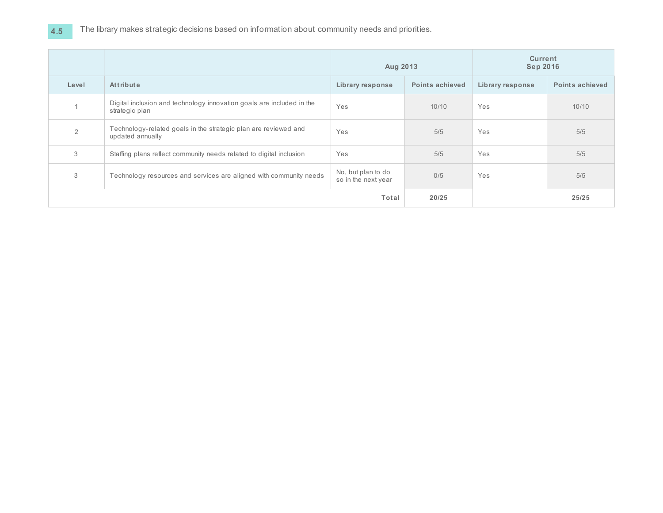|       |                                                                                         | Aug 2013                                  |                        | <b>Current</b><br><b>Sep 2016</b> |                        |
|-------|-----------------------------------------------------------------------------------------|-------------------------------------------|------------------------|-----------------------------------|------------------------|
| Level | <b>Attribute</b>                                                                        | Library response                          | <b>Points achieved</b> | Library response                  | <b>Points achieved</b> |
|       | Digital inclusion and technology innovation goals are included in the<br>strategic plan | Yes                                       | 10/10                  | Yes                               | 10/10                  |
| 2     | Technology-related goals in the strategic plan are reviewed and<br>updated annually     | Yes                                       | 5/5                    | Yes                               | 5/5                    |
| 3     | Staffing plans reflect community needs related to digital inclusion                     | Yes                                       | 5/5                    | Yes                               | 5/5                    |
| 3     | Technology resources and services are aligned with community needs                      | No, but plan to do<br>so in the next year | 0/5                    | Yes                               | 5/5                    |
| Total |                                                                                         | 20/25                                     |                        | 25/25                             |                        |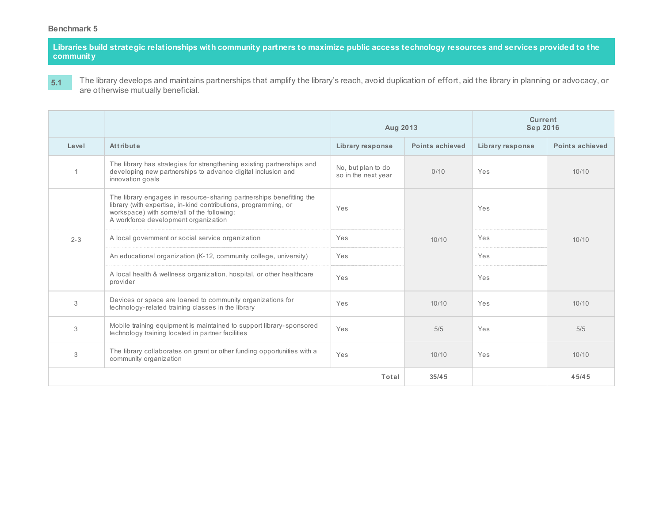Libraries build strategic relationships with community partners to maximize public access technology resources and services provided to the **community**

**5.1** The library develops and maintains partnerships that amplify the library's reach, avoid duplication of effort, aid the library in planning or advocacy, or are otherwise mutually beneficial.

|                |                                                                                                                                                                                                                               | Aug 2013                                  |                 | Current<br><b>Sep 2016</b> |                 |
|----------------|-------------------------------------------------------------------------------------------------------------------------------------------------------------------------------------------------------------------------------|-------------------------------------------|-----------------|----------------------------|-----------------|
| Level          | Attribute                                                                                                                                                                                                                     | Library response                          | Points achieved | Library response           | Points achieved |
| $\overline{1}$ | The library has strategies for strengthening existing partnerships and<br>developing new partnerships to advance digital inclusion and<br>innovation goals                                                                    | No, but plan to do<br>so in the next year | 0/10            | Yes                        | 10/10           |
|                | The library engages in resource-sharing partnerships benefitting the<br>library (with expertise, in-kind contributions, programming, or<br>workspace) with some/all of the following:<br>A workforce development organization | Yes                                       |                 | Yes                        |                 |
| $2 - 3$        | A local government or social service organization                                                                                                                                                                             | Yes                                       | 10/10           | Yes                        | 10/10           |
|                | An educational organization (K-12, community college, university)                                                                                                                                                             | Yes                                       |                 | Yes                        |                 |
|                | A local health & wellness organization, hospital, or other healthcare<br>provider                                                                                                                                             | Yes                                       |                 | Yes                        |                 |
| 3              | Devices or space are loaned to community organizations for<br>technology-related training classes in the library                                                                                                              | Yes                                       | 10/10           | Yes                        | 10/10           |
| 3              | Mobile training equipment is maintained to support library-sponsored<br>technology training located in partner facilities                                                                                                     | Yes                                       | 5/5             | Yes                        | 5/5             |
| 3              | The library collaborates on grant or other funding opportunities with a<br>community organization                                                                                                                             | Yes                                       | 10/10           | Yes                        | 10/10           |
|                |                                                                                                                                                                                                                               | Total                                     | 35/45           |                            | 45/45           |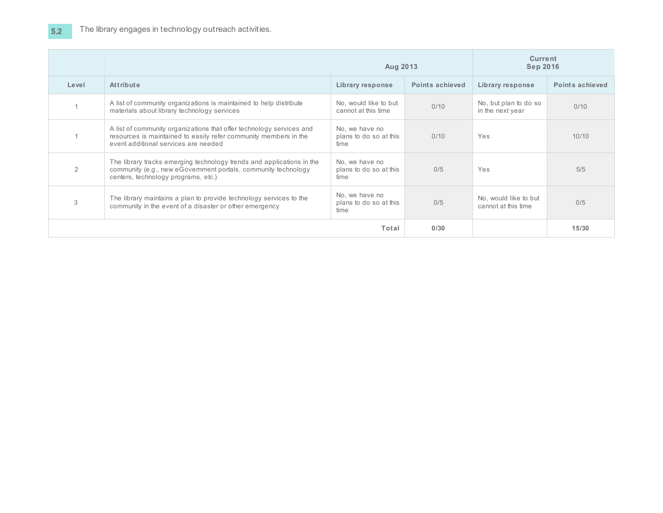|       |                                                                                                                                                                                  | Aug 2013                                         |                 | <b>Current</b><br><b>Sep 2016</b>            |                 |
|-------|----------------------------------------------------------------------------------------------------------------------------------------------------------------------------------|--------------------------------------------------|-----------------|----------------------------------------------|-----------------|
| Level | Attribute                                                                                                                                                                        | Library response                                 | Points achieved | Library response                             | Points achieved |
|       | A list of community organizations is maintained to help distribute<br>materials about library technology services                                                                | No, would like to but<br>cannot at this time     | 0/10            | No, but plan to do so<br>in the next year    | 0/10            |
|       | A list of community organizations that offer technology services and<br>resources is maintained to easily refer community members in the<br>event additional services are needed | No, we have no<br>plans to do so at this<br>time | 0/10            | <b>Yes</b>                                   | 10/10           |
| 2     | The library tracks emerging technology trends and applications in the<br>community (e.g., new eGovernment portals, community technology<br>centers, technology programs, etc.)   | No, we have no<br>plans to do so at this<br>time | 0/5             | <b>Yes</b>                                   | 5/5             |
| 3     | The library maintains a plan to provide technology services to the<br>community in the event of a disaster or other emergency                                                    | No, we have no<br>plans to do so at this<br>time | 0/5             | No, would like to but<br>cannot at this time | 0/5             |
|       | Total                                                                                                                                                                            |                                                  | 0/30            |                                              | 15/30           |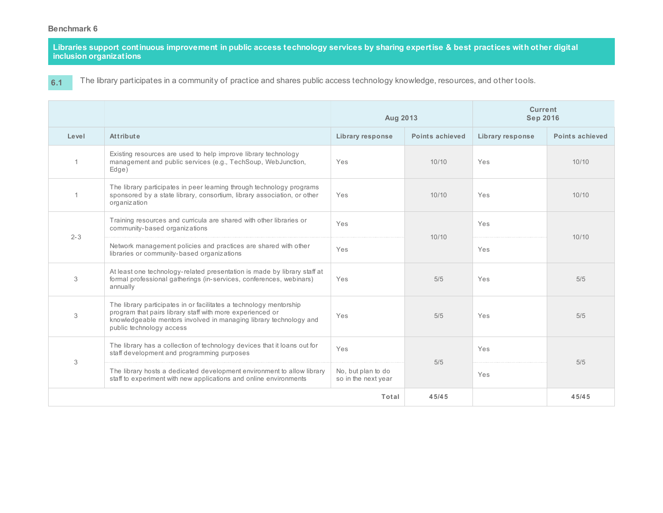Libraries support continuous improvement in public access technology services by sharing expertise & best practices with other digital **inclusion organizations**

**6.1**

The library participates in a community of practice and shares public access technology knowledge, resources, and other tools.

|                |                                                                                                                                                                                                                                  | Aug 2013                                  |                 | Current<br><b>Sep 2016</b> |                 |
|----------------|----------------------------------------------------------------------------------------------------------------------------------------------------------------------------------------------------------------------------------|-------------------------------------------|-----------------|----------------------------|-----------------|
| Level          | Attribute                                                                                                                                                                                                                        | <b>Library response</b>                   | Points achieved | Library response           | Points achieved |
| $\overline{1}$ | Existing resources are used to help improve library technology<br>management and public services (e.g., TechSoup, WebJunction,<br>Edge)                                                                                          | Yes                                       | 10/10           | Yes                        | 10/10           |
| $\overline{1}$ | The library participates in peer learning through technology programs<br>sponsored by a state library, consortium, library association, or other<br>organization                                                                 | Yes                                       | 10/10           | Yes                        | 10/10           |
| $2 - 3$        | Training resources and curricula are shared with other libraries or<br>community-based organizations                                                                                                                             | Yes                                       | 10/10           | Yes                        | 10/10           |
|                | Network management policies and practices are shared with other<br>libraries or community-based organizations                                                                                                                    | Yes                                       |                 | Yes                        |                 |
| 3              | At least one technology-related presentation is made by library staff at<br>formal professional gatherings (in-services, conferences, webinars)<br>annually                                                                      | Yes                                       | 5/5             | Yes                        | 5/5             |
| 3              | The library participates in or facilitates a technology mentorship<br>program that pairs library staff with more experienced or<br>knowledgeable mentors involved in managing library technology and<br>public technology access | Yes                                       | 5/5             | Yes                        | 5/5             |
| 3              | The library has a collection of technology devices that it loans out for<br>staff development and programming purposes                                                                                                           | Yes                                       | 5/5             | Yes                        | 5/5             |
|                | The library hosts a dedicated development environment to allow library<br>staff to experiment with new applications and online environments                                                                                      | No, but plan to do<br>so in the next year |                 | Yes                        |                 |
|                | Total                                                                                                                                                                                                                            |                                           | 45/45           |                            | 45/45           |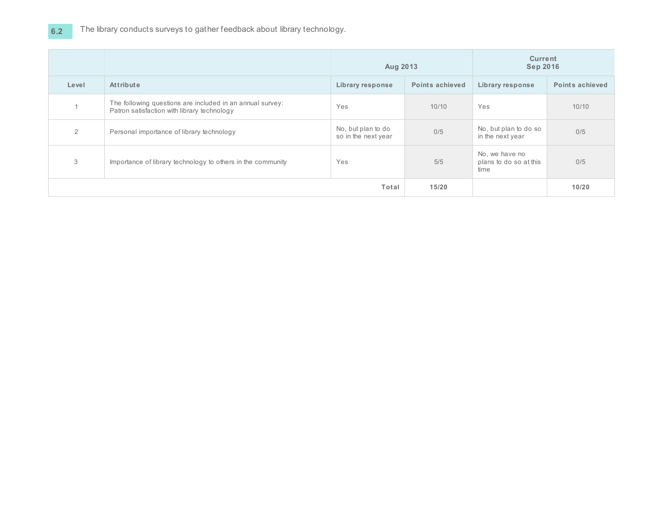# **6.2** The library conducts surveys to gather feedback about library technology.

|       |                                                                                                          | Aug 2013                                  |                        | <b>Current</b><br><b>Sep 2016</b>                |                        |
|-------|----------------------------------------------------------------------------------------------------------|-------------------------------------------|------------------------|--------------------------------------------------|------------------------|
| Level | Attribute                                                                                                | Library response                          | <b>Points achieved</b> | Library response                                 | <b>Points achieved</b> |
|       | The following questions are included in an annual survey:<br>Patron satisfaction with library technology | Yes                                       | 10/10                  | Yes                                              | 10/10                  |
| 2     | Personal importance of library technology                                                                | No, but plan to do<br>so in the next year | 0/5                    | No, but plan to do so<br>in the next year        | 0/5                    |
| 3     | Importance of library technology to others in the community                                              | Yes                                       | 5/5                    | No, we have no<br>plans to do so at this<br>time | 0/5                    |
|       | Total                                                                                                    |                                           | 15/20                  |                                                  | 10/20                  |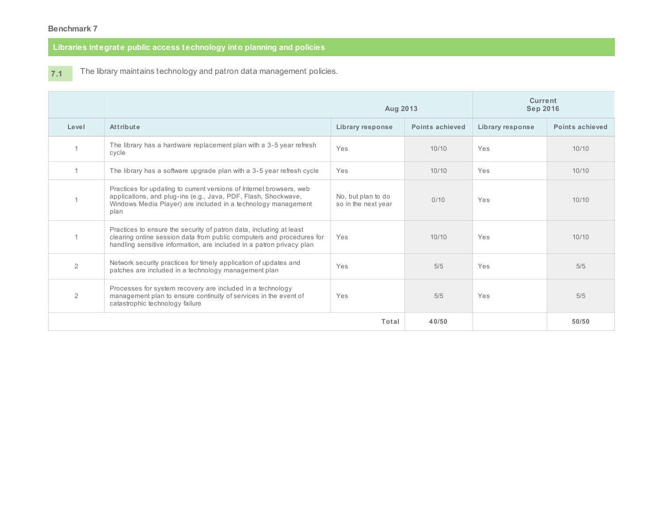## **Libraries integrate public access technology into planning and policies**

**7.1**

The library maintains technology and patron data management policies.

|                |                                                                                                                                                                                                                       | Aug 2013                                  |                 | <b>Current</b><br><b>Sep 2016</b> |                 |
|----------------|-----------------------------------------------------------------------------------------------------------------------------------------------------------------------------------------------------------------------|-------------------------------------------|-----------------|-----------------------------------|-----------------|
| Level          | <b>Attribute</b>                                                                                                                                                                                                      | Library response                          | Points achieved | Library response                  | Points achieved |
|                | The library has a hardware replacement plan with a 3-5 year refresh<br>cycle                                                                                                                                          | Yes                                       | 10/10           | Yes                               | 10/10           |
|                | The library has a software upgrade plan with a 3-5 year refresh cycle                                                                                                                                                 | Yes                                       | 10/10           | Yes                               | 10/10           |
|                | Practices for updating to current versions of Internet browsers, web<br>applications, and plug-ins (e.g., Java, PDF, Flash, Shockwave,<br>Windows Media Player) are included in a technology management<br>plan       | No, but plan to do<br>so in the next year | 0/10            | Yes                               | 10/10           |
|                | Practices to ensure the security of patron data, including at least<br>clearing online session data from public computers and procedures for<br>handling sensitive information, are included in a patron privacy plan | Yes                                       | 10/10           | Yes                               | 10/10           |
| $\overline{2}$ | Network security practices for timely application of updates and<br>patches are included in a technology management plan                                                                                              | Yes                                       | 5/5             | Yes                               | 5/5             |
| 2              | Processes for system recovery are included in a technology<br>management plan to ensure continuity of services in the event of<br>catastrophic technology failure                                                     | Yes                                       | 5/5             | Yes                               | 5/5             |
| Total          |                                                                                                                                                                                                                       | 40/50                                     |                 | 50/50                             |                 |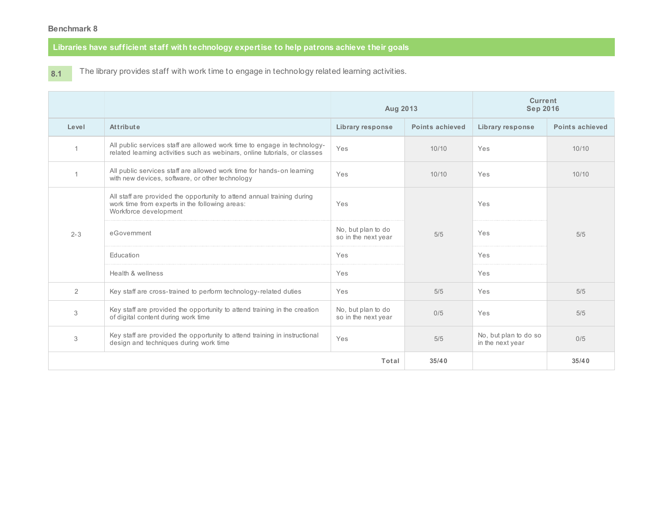# **Libraries have sufficient staff with technology expertise to help patrons achieve their goals**

**8.1** The library provides staff with work time to engage in technology related learning activities.

|                |                                                                                                                                                        | Aug 2013                                  |                        | <b>Current</b><br><b>Sep 2016</b>         |                 |
|----------------|--------------------------------------------------------------------------------------------------------------------------------------------------------|-------------------------------------------|------------------------|-------------------------------------------|-----------------|
| Level          | Attribute                                                                                                                                              | <b>Library response</b>                   | <b>Points achieved</b> | Library response                          | Points achieved |
|                | All public services staff are allowed work time to engage in technology-<br>related learning activities such as webinars, online tutorials, or classes | Yes                                       | 10/10                  | Yes                                       | 10/10           |
|                | All public services staff are allowed work time for hands-on learning<br>with new devices, software, or other technology                               | Yes                                       | 10/10                  | Yes                                       | 10/10           |
|                | All staff are provided the opportunity to attend annual training during<br>work time from experts in the following areas:<br>Workforce development     | Yes                                       | 5/5                    | Yes                                       | 5/5             |
| $2 - 3$        | eGovernment                                                                                                                                            | No, but plan to do<br>so in the next year |                        | Yes                                       |                 |
|                | Education                                                                                                                                              | Yes                                       |                        | Yes                                       |                 |
|                | Health & wellness                                                                                                                                      | Yes                                       |                        | Yes                                       |                 |
| $\overline{2}$ | Key staff are cross-trained to perform technology-related duties                                                                                       | Yes                                       | 5/5                    | Yes                                       | 5/5             |
| 3              | Key staff are provided the opportunity to attend training in the creation<br>of digital content during work time                                       | No, but plan to do<br>so in the next year | 0/5                    | Yes                                       | 5/5             |
| 3              | Key staff are provided the opportunity to attend training in instructional<br>design and techniques during work time                                   | Yes                                       | 5/5                    | No, but plan to do so<br>in the next year | 0/5             |
|                |                                                                                                                                                        | Total                                     | 35/40                  |                                           | 35/40           |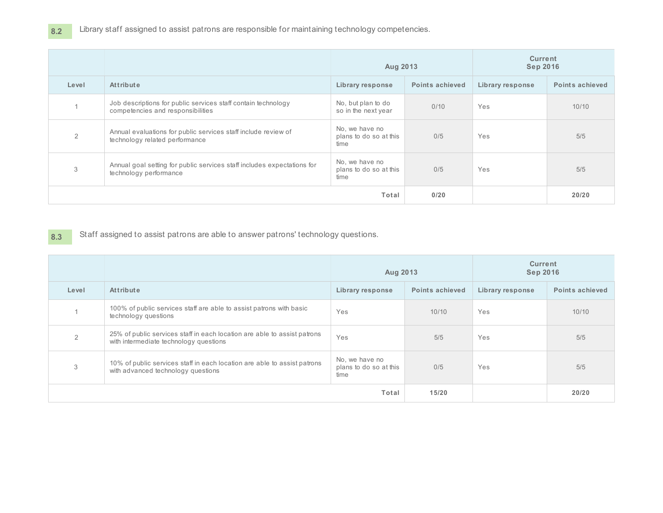**8.2** Library staff assigned to assist patrons are responsible for maintaining technology competencies.

|       |                                                                                                    | Aug 2013                                         |                        | <b>Current</b><br><b>Sep 2016</b> |                        |
|-------|----------------------------------------------------------------------------------------------------|--------------------------------------------------|------------------------|-----------------------------------|------------------------|
| Level | Attribute                                                                                          | Library response                                 | <b>Points achieved</b> | Library response                  | <b>Points achieved</b> |
|       | Job descriptions for public services staff contain technology<br>competencies and responsibilities | No, but plan to do<br>so in the next year        | 0/10                   | Yes                               | 10/10                  |
| 2     | Annual evaluations for public services staff include review of<br>technology related performance   | No, we have no<br>plans to do so at this<br>time | 0/5                    | Yes                               | 5/5                    |
| 3     | Annual goal setting for public services staff includes expectations for<br>technology performance  | No, we have no<br>plans to do so at this<br>time | 0/5                    | Yes                               | 5/5                    |
|       | Total                                                                                              |                                                  | 0/20                   |                                   | 20/20                  |

**8.3** Staff assigned to assist patrons are able to answer patrons' technology questions.

|       |                                                                                                                    | Aug 2013                                         |                        | <b>Current</b><br><b>Sep 2016</b> |                 |
|-------|--------------------------------------------------------------------------------------------------------------------|--------------------------------------------------|------------------------|-----------------------------------|-----------------|
| Level | <b>Attribute</b>                                                                                                   | Library response                                 | <b>Points achieved</b> | Library response                  | Points achieved |
|       | 100% of public services staff are able to assist patrons with basic<br>technology questions                        | Yes                                              | 10/10                  | Yes                               | 10/10           |
|       | 25% of public services staff in each location are able to assist patrons<br>with intermediate technology questions | Yes                                              | 5/5                    | Yes                               | 5/5             |
| 3     | 10% of public services staff in each location are able to assist patrons<br>with advanced technology questions     | No, we have no<br>plans to do so at this<br>time | 0/5                    | Yes                               | 5/5             |
|       | Total                                                                                                              |                                                  |                        |                                   | 20/20           |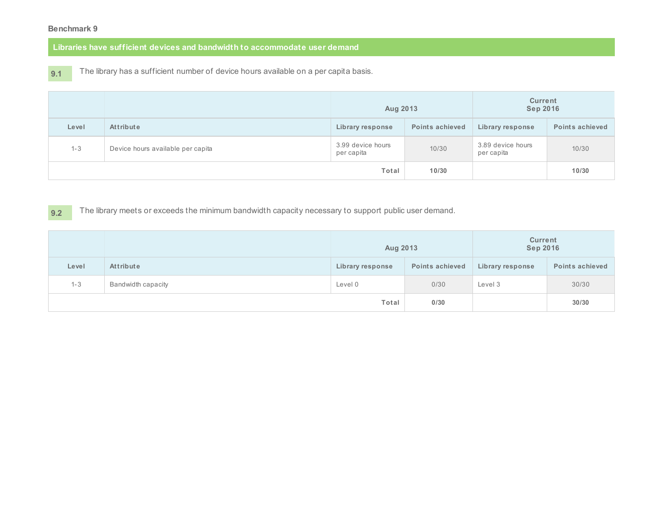**Libraries have sufficient devices and bandwidth to accommodate user demand**

**9.1**

The library has a sufficient number of device hours available on a per capita basis.

|         |                                   | Aug 2013                        |                        | <b>Current</b><br><b>Sep 2016</b> |                        |  |
|---------|-----------------------------------|---------------------------------|------------------------|-----------------------------------|------------------------|--|
| Level   | Attribute                         | Library response                | <b>Points achieved</b> | Library response                  | <b>Points achieved</b> |  |
| $1 - 3$ | Device hours available per capita | 3.99 device hours<br>per capita | 10/30                  | 3.89 device hours<br>per capita   | 10/30                  |  |
|         |                                   | Total                           | 10/30                  |                                   | 10/30                  |  |

**9.2** The library meets or exceeds the minimum bandwidth capacity necessary to support public user demand.

|         |                    |                  | Aug 2013               |                         | <b>Current</b><br><b>Sep 2016</b> |  |  |
|---------|--------------------|------------------|------------------------|-------------------------|-----------------------------------|--|--|
| Level   | <b>Attribute</b>   | Library response | <b>Points achieved</b> | <b>Library response</b> | <b>Points achieved</b>            |  |  |
| $1 - 3$ | Bandwidth capacity | Level 0          | 0/30                   | Level 3                 | 30/30                             |  |  |
|         |                    | Total            | 0/30                   |                         | 30/30                             |  |  |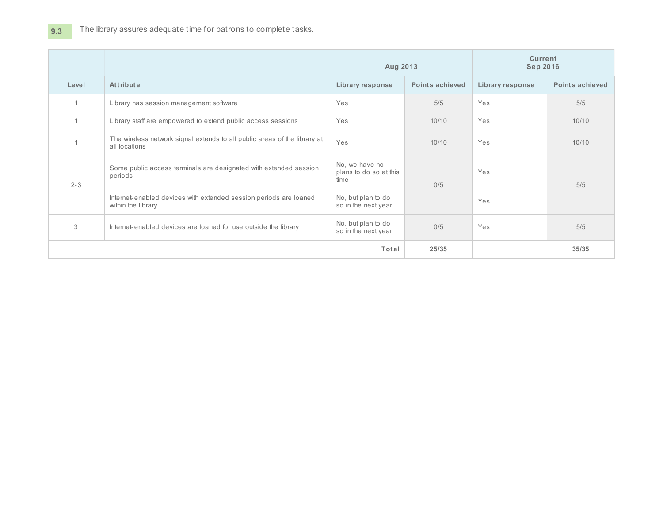| Level   | Attribute                                                                                  | Library response                                                                                                                                                               | <b>Points achieved</b> | Library response | Points achieved |  |
|---------|--------------------------------------------------------------------------------------------|--------------------------------------------------------------------------------------------------------------------------------------------------------------------------------|------------------------|------------------|-----------------|--|
|         | Library has session management software                                                    | Yes                                                                                                                                                                            | 5/5                    | Yes              | 5/5             |  |
| 1       | Library staff are empowered to extend public access sessions                               | Yes                                                                                                                                                                            | 10/10                  | Yes              | 10/10           |  |
|         | The wireless network signal extends to all public areas of the library at<br>all locations | Yes                                                                                                                                                                            | 10/10                  | Yes              | 10/10           |  |
| $2 - 3$ | Some public access terminals are designated with extended session<br>periods               | No, we have no<br>plans to do so at this<br>time                                                                                                                               | 0/5                    | Yes              | 5/5             |  |
|         | Internet-enabled devices with extended session periods are loaned<br>within the library    | <b>Current</b><br>Aug 2013<br><b>Sep 2016</b><br>No, but plan to do<br>Yes<br>so in the next year<br>No, but plan to do<br>0/5<br>Yes<br>so in the next year<br>25/35<br>Total |                        |                  |                 |  |
| 3       | Internet-enabled devices are loaned for use outside the library                            |                                                                                                                                                                                |                        |                  | 5/5             |  |
|         |                                                                                            |                                                                                                                                                                                |                        |                  | 35/35           |  |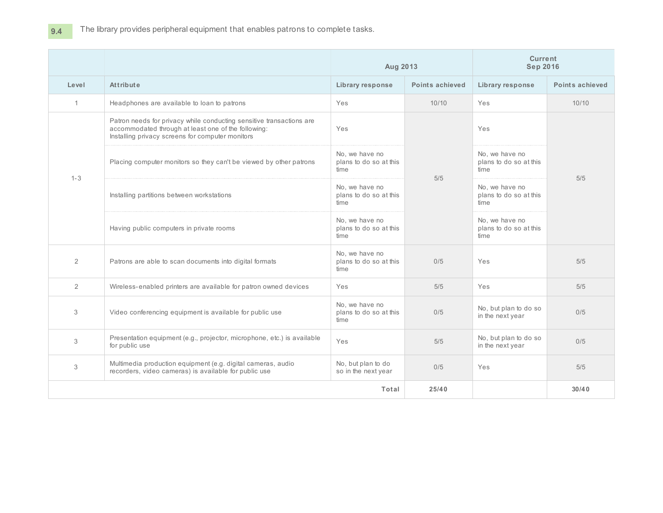|                |                                                                                                                                                                                 | Aug 2013                                         |                        | <b>Current</b><br><b>Sep 2016</b>                |                 |  |
|----------------|---------------------------------------------------------------------------------------------------------------------------------------------------------------------------------|--------------------------------------------------|------------------------|--------------------------------------------------|-----------------|--|
| Level          | Attribute                                                                                                                                                                       | Library response                                 | <b>Points achieved</b> | Library response                                 | Points achieved |  |
| 1              | Headphones are available to loan to patrons                                                                                                                                     | Yes                                              | 10/10                  | Yes                                              | 10/10           |  |
|                | Patron needs for privacy while conducting sensitive transactions are<br>accommodated through at least one of the following:<br>Installing privacy screens for computer monitors | Yes                                              |                        | Yes                                              |                 |  |
| $1 - 3$        | Placing computer monitors so they can't be viewed by other patrons                                                                                                              | No, we have no<br>plans to do so at this<br>time | 5/5                    | No, we have no<br>plans to do so at this<br>time | 5/5             |  |
|                | Installing partitions between workstations                                                                                                                                      | No, we have no<br>plans to do so at this<br>time |                        | No. we have no<br>plans to do so at this<br>time |                 |  |
|                | Having public computers in private rooms                                                                                                                                        | No. we have no<br>plans to do so at this<br>time |                        | No. we have no<br>plans to do so at this<br>time |                 |  |
| $\overline{2}$ | Patrons are able to scan documents into digital formats                                                                                                                         | No, we have no<br>plans to do so at this<br>time | 0/5                    | Yes                                              | 5/5             |  |
| $\overline{2}$ | Wireless-enabled printers are available for patron owned devices                                                                                                                | Yes                                              | 5/5                    | Yes                                              | 5/5             |  |
| 3              | Video conferencing equipment is available for public use                                                                                                                        | No, we have no<br>plans to do so at this<br>time | 0/5                    | No, but plan to do so<br>in the next year        | 0/5             |  |
| 3              | Presentation equipment (e.g., projector, microphone, etc.) is available<br>for public use                                                                                       | Yes                                              | 5/5                    | No, but plan to do so<br>in the next year        | 0/5             |  |
| 3              | Multimedia production equipment (e.g. digital cameras, audio<br>recorders, video cameras) is available for public use                                                           | No, but plan to do<br>so in the next year        | 0/5                    | Yes                                              | 5/5             |  |
|                |                                                                                                                                                                                 | Total                                            | 25/40                  |                                                  | 30/40           |  |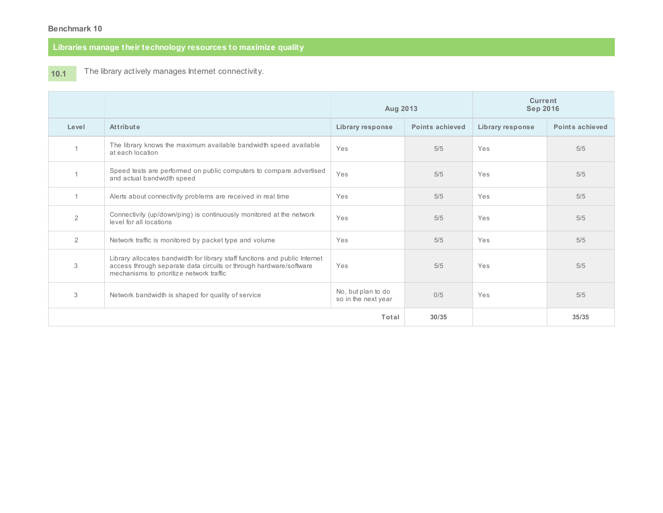# **Libraries manage their technology resources to maximize quality**

#### **10.1** The library actively manages Internet connectivity.

|       |                                                                                                                                                                                               | Aug 2013                                  |                        | <b>Current</b><br><b>Sep 2016</b> |                 |  |
|-------|-----------------------------------------------------------------------------------------------------------------------------------------------------------------------------------------------|-------------------------------------------|------------------------|-----------------------------------|-----------------|--|
| Level | Attribute                                                                                                                                                                                     | Library response                          | <b>Points achieved</b> | Library response                  | Points achieved |  |
|       | The library knows the maximum available bandwidth speed available<br>at each location                                                                                                         | Yes                                       | 5/5                    | Yes                               | 5/5             |  |
|       | Speed tests are performed on public computers to compare advertised<br>and actual bandwidth speed                                                                                             | Yes                                       | 5/5                    | Yes                               | 5/5             |  |
|       | Alerts about connectivity problems are received in real time                                                                                                                                  | Yes                                       | 5/5                    | Yes                               | 5/5             |  |
| 2     | Connectivity (up/down/ping) is continuously monitored at the network<br>level for all locations                                                                                               | Yes                                       | 5/5                    | Yes                               | 5/5             |  |
| 2     | Network traffic is monitored by packet type and volume                                                                                                                                        | Yes                                       | 5/5                    | Yes<br>Yes<br>Yes                 | 5/5             |  |
| 3     | Library allocates bandwidth for library staff functions and public Internet<br>access through separate data circuits or through hardware/software<br>mechanisms to prioritize network traffic | Yes                                       | 5/5                    |                                   | 5/5             |  |
| 3     | Network bandwidth is shaped for quality of service                                                                                                                                            | No, but plan to do<br>so in the next year | 0/5                    |                                   | 5/5             |  |
|       |                                                                                                                                                                                               | Total                                     | 30/35                  |                                   | 35/35           |  |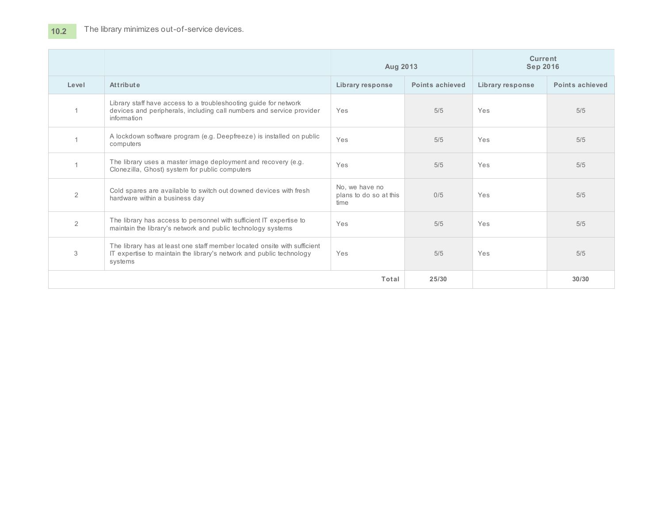|                |                                                                                                                                                             | Aug 2013                                         |                 | <b>Current</b><br><b>Sep 2016</b> |                 |  |
|----------------|-------------------------------------------------------------------------------------------------------------------------------------------------------------|--------------------------------------------------|-----------------|-----------------------------------|-----------------|--|
| Level          | Attribute                                                                                                                                                   | <b>Library response</b>                          | Points achieved | Library response                  | Points achieved |  |
|                | Library staff have access to a troubleshooting guide for network<br>devices and peripherals, including call numbers and service provider<br>information     | Yes                                              | 5/5             | Yes                               | 5/5             |  |
|                | A lockdown software program (e.g. Deepfreeze) is installed on public<br>computers                                                                           | Yes                                              | 5/5             | Yes                               | 5/5             |  |
|                | The library uses a master image deployment and recovery (e.g.<br>Clonezilla, Ghost) system for public computers                                             | Yes                                              | 5/5             | Yes                               | 5/5             |  |
| $\overline{2}$ | Cold spares are available to switch out downed devices with fresh<br>hardware within a business day                                                         | No, we have no<br>plans to do so at this<br>time | 0/5             | Yes                               | 5/5             |  |
| $\overline{2}$ | The library has access to personnel with sufficient IT expertise to<br>maintain the library's network and public technology systems                         | Yes                                              | 5/5             | Yes                               | 5/5             |  |
| 3              | The library has at least one staff member located onsite with sufficient<br>IT expertise to maintain the library's network and public technology<br>systems | Yes                                              | 5/5             | Yes                               | 5/5             |  |
|                |                                                                                                                                                             | Total                                            | 25/30           |                                   | 30/30           |  |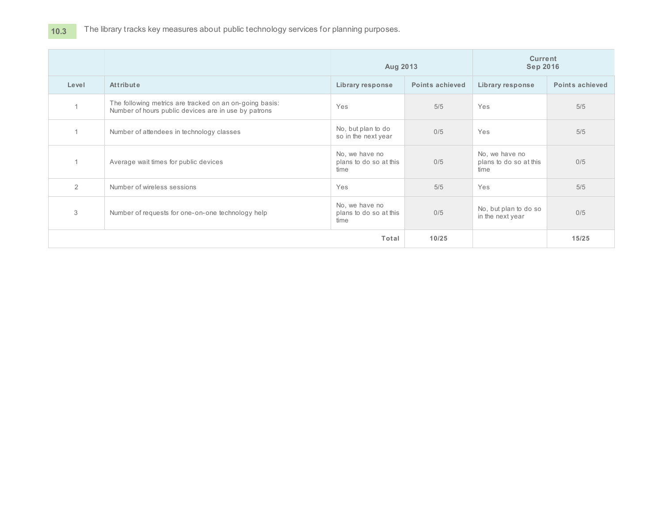# 10.3 The library tracks key measures about public technology services for planning purposes.

|       |                                                                                                                 | Aug 2013                                         |                        | <b>Current</b><br><b>Sep 2016</b>                |                        |  |
|-------|-----------------------------------------------------------------------------------------------------------------|--------------------------------------------------|------------------------|--------------------------------------------------|------------------------|--|
| Level | Attribute                                                                                                       | Library response                                 | <b>Points achieved</b> | Library response                                 | <b>Points achieved</b> |  |
|       | The following metrics are tracked on an on-going basis:<br>Number of hours public devices are in use by patrons | Yes                                              | 5/5                    | Yes                                              | 5/5                    |  |
|       | Number of attendees in technology classes                                                                       | No, but plan to do<br>so in the next year        | 0/5                    | Yes                                              | 5/5                    |  |
|       | Average wait times for public devices                                                                           | No, we have no<br>plans to do so at this<br>time | 0/5                    | No, we have no<br>plans to do so at this<br>time | 0/5                    |  |
| 2     | Number of wireless sessions                                                                                     | Yes                                              | 5/5                    | Yes                                              | 5/5                    |  |
| 3     | Number of requests for one-on-one technology help                                                               | No, we have no<br>plans to do so at this<br>time | 0/5                    | No, but plan to do so<br>in the next year        | 0/5                    |  |
|       |                                                                                                                 | Total                                            | 10/25                  |                                                  | 15/25                  |  |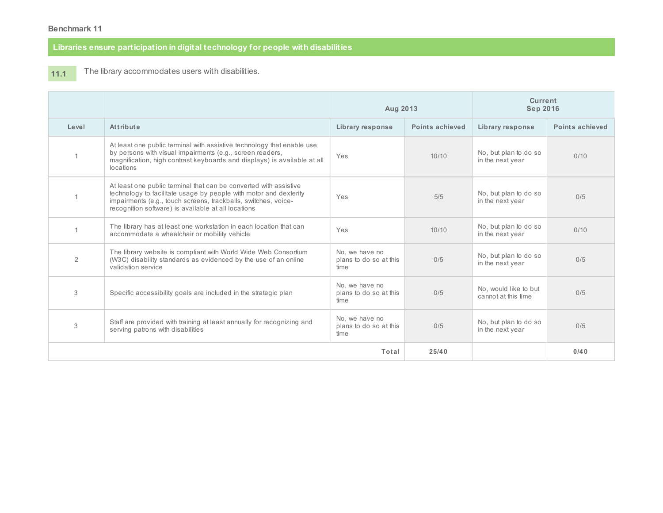### **Libraries ensure participation in digital technology for people with disabilities**

#### **11.1** The library accommodates users with disabilities.

|       |                                                                                                                                                                                                                                                                 | Aug 2013                                         |                 | Current<br><b>Sep 2016</b>                   |                 |
|-------|-----------------------------------------------------------------------------------------------------------------------------------------------------------------------------------------------------------------------------------------------------------------|--------------------------------------------------|-----------------|----------------------------------------------|-----------------|
| Level | Attribute                                                                                                                                                                                                                                                       | Library response                                 | Points achieved | Library response                             | Points achieved |
|       | At least one public terminal with assistive technology that enable use<br>by persons with visual impairments (e.g., screen readers,<br>magnification, high contrast keyboards and displays) is available at all<br>locations                                    | Yes                                              | 10/10           | No, but plan to do so<br>in the next year    | 0/10            |
|       | At least one public terminal that can be converted with assistive<br>technology to facilitate usage by people with motor and dexterity<br>impairments (e.g., touch screens, trackballs, switches, voice-<br>recognition software) is available at all locations | Yes                                              | 5/5             | No, but plan to do so<br>in the next year    | 0/5             |
|       | The library has at least one workstation in each location that can<br>accommodate a wheelchair or mobility vehicle                                                                                                                                              | Yes                                              | 10/10           | No, but plan to do so<br>in the next year    | 0/10            |
| 2     | The library website is compliant with World Wide Web Consortium<br>(W3C) disability standards as evidenced by the use of an online<br>validation service                                                                                                        | No. we have no<br>plans to do so at this<br>time | 0/5             | No, but plan to do so<br>in the next year    | 0/5             |
| 3     | Specific accessibility goals are included in the strategic plan                                                                                                                                                                                                 | No. we have no<br>plans to do so at this<br>time | 0/5             | No. would like to but<br>cannot at this time | 0/5             |
| 3     | Staff are provided with training at least annually for recognizing and<br>serving patrons with disabilities                                                                                                                                                     | No, we have no<br>plans to do so at this<br>time | 0/5             | No, but plan to do so<br>in the next year    | 0/5             |
|       |                                                                                                                                                                                                                                                                 | Total                                            | 25/40           |                                              | 0/40            |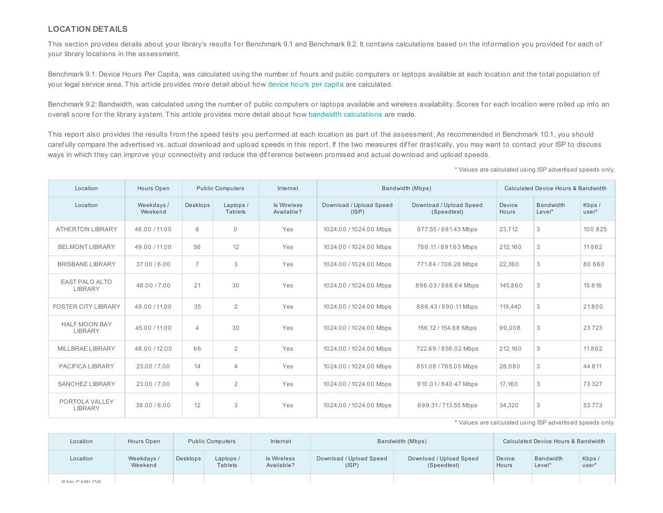#### **LOCATION DETAILS**

This section provides details about your library's results for Benchmark 9.1 and Benchmark 9.2. It contains calculations based on the information you provided for each of your library locations in the assessment.

Benchmark 9.1: Device Hours Per Capita, was calculated using the number of hours and public computers or laptops available at each location and the total population of your legal service area. This article provides more detail about how [device](http://www.libraryedge.org/sites/default/files/Article-Benchmark9.1.pdf) hours per capita are calculated.

Benchmark 9.2: Bandwidth, was calculated using the number of public computers or laptops available and wireless availability. Scores for each location were rolled up into an overall score for the library system. This article provides more detail about how bandwidth [calculations](http://www.libraryedge.org/sites/default/files/Article-Benchmark9.2.pdf) are made.

This report also provides the results from the speed tests you perf ormed at each location as part of the assessment. As recommended in Benchmark 10.1, you should carefully compare the advertised vs. actual download and upload speeds in this report. If the two measures differ drastically, you may want to contact your ISP to discuss ways in which they can improve your connectivity and reduce the difference between promised and actual download and upload speeds.

\* Values are calculated using ISP advertised speeds only.

| Location                               | Hours Open           |                | <b>Public Computers</b>    | Bandwidth (Mbps)<br>Internet     |                                  | Calculated Device Hours & Bandwidth    |                 |                            |                 |
|----------------------------------------|----------------------|----------------|----------------------------|----------------------------------|----------------------------------|----------------------------------------|-----------------|----------------------------|-----------------|
| Location                               | Weekdays/<br>Weekend | Desktops       | Laptops/<br><b>Tablets</b> | <b>Is Wireless</b><br>Available? | Download / Upload Speed<br>(ISP) | Download / Upload Speed<br>(Speedtest) | Device<br>Hours | <b>Bandwidth</b><br>Level* | Kbps /<br>user* |
| <b>ATHERTON LIBRARY</b>                | 46.00 / 11.00        | 8              | $\mathbf{0}$               | Yes                              | 1024.00 / 1024.00 Mbps           | 677.55/681.43 Mbps                     | 23.712          | 3                          | 100 825         |
| <b>BELMONT LIBRARY</b>                 | 49.00 / 11.00        | 56             | 12                         | Yes                              | 1024.00 / 1024.00 Mbps           | 786.11/891.63 Mbps                     | 212,160         | 3                          | 11862           |
| <b>BRISBANE LIBRARY</b>                | 37.00 / 6.00         | $\overline{7}$ | 3                          | Yes                              | 1024.00 / 1024.00 Mbps           | 771.84 / 706.28 Mbps                   | 22.360          | 3                          | 80 660          |
| <b>EAST PALO ALTO</b><br>LIBRARY       | 48.00 / 7.00         | 21             | 30                         | Yes                              | 1024.00 / 1024.00 Mbps           | 896.03/888.64 Mbps                     | 145.860         | 3                          | 15816           |
| <b>FOSTER CITY LIBRARY</b>             | 49.00 / 11.00        | 35             | $\overline{2}$             | Yes                              | 1024.00 / 1024.00 Mbps           | 886.43/890.11 Mbps                     | 115,440         | 3                          | 21800           |
| <b>HALF MOON BAY</b><br><b>LIBRARY</b> | 45.00 / 11.00        | $\overline{4}$ | 30                         | Yes                              | 1024.00 / 1024.00 Mbps           | 156.12 / 154.68 Mbps                   | 99.008          | 3                          | 23723           |
| MILLBRAE LIBRARY                       | 48.00 / 12.00        | 66             | $\overline{2}$             | Yes                              | 1024.00 / 1024.00 Mbps           | 722.69 / 856.02 Mbps                   | 212,160         | 3                          | 11862           |
| PACIFICA LIBRARY                       | 23.00 / 7.00         | 14             | $\overline{4}$             | Yes                              | 1024.00 / 1024.00 Mbps           | 851.08 / 765.05 Mbps                   | 28.080          | 3                          | 44 8 11         |
| <b>SANCHEZ LIBRARY</b>                 | 23.00 / 7.00         | 9              | $\overline{2}$             | Yes                              | 1024.00 / 1024.00 Mbps           | 910.01/840.47 Mbps                     | 17.160          | 3                          | 73 3 2 7        |
| PORTOLA VALLEY<br><b>LIBRARY</b>       | 38.00 / 6.00         | 12             | 3                          | Yes                              | 1024.00 / 1024.00 Mbps           | 699.31/713.55 Mbps                     | 34,320          | 3                          | 53773           |

\* Values are calculated using ISP advertised speeds only.

| Location    | Hours Open            |          | <b>Public Computers</b> | Internet                  |                                  | Bandwidth (Mbps)                       |                 | Calculated Device Hours & Bandwidth |                |
|-------------|-----------------------|----------|-------------------------|---------------------------|----------------------------------|----------------------------------------|-----------------|-------------------------------------|----------------|
| Location    | Weekdays /<br>Weekend | Desktops | Laptops/<br>Tablets     | Is Wireless<br>Available? | Download / Upload Speed<br>(ISP) | Download / Upload Speed<br>(Speedtest) | Device<br>Hours | Bandwidth<br>$Level*$               | Kbps/<br>user* |
| CAN CADI OC |                       |          |                         |                           |                                  |                                        |                 |                                     |                |